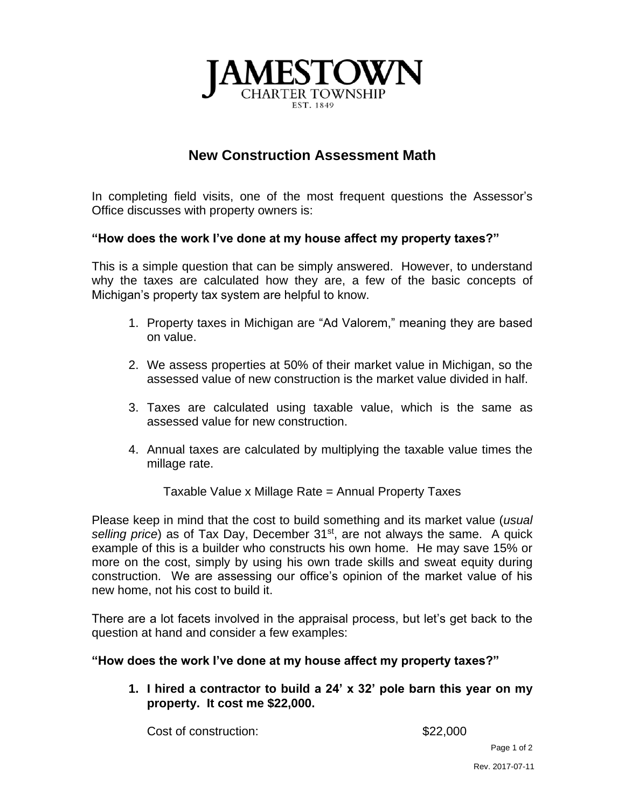

## **New Construction Assessment Math**

In completing field visits, one of the most frequent questions the Assessor's Office discusses with property owners is:

## **"How does the work I've done at my house affect my property taxes?"**

This is a simple question that can be simply answered. However, to understand why the taxes are calculated how they are, a few of the basic concepts of Michigan's property tax system are helpful to know.

- 1. Property taxes in Michigan are "Ad Valorem," meaning they are based on value.
- 2. We assess properties at 50% of their market value in Michigan, so the assessed value of new construction is the market value divided in half.
- 3. Taxes are calculated using taxable value, which is the same as assessed value for new construction.
- 4. Annual taxes are calculated by multiplying the taxable value times the millage rate.

Taxable Value x Millage Rate = Annual Property Taxes

Please keep in mind that the cost to build something and its market value (*usual*  selling price) as of Tax Day, December 31<sup>st</sup>, are not always the same. A quick example of this is a builder who constructs his own home. He may save 15% or more on the cost, simply by using his own trade skills and sweat equity during construction. We are assessing our office's opinion of the market value of his new home, not his cost to build it.

There are a lot facets involved in the appraisal process, but let's get back to the question at hand and consider a few examples:

**"How does the work I've done at my house affect my property taxes?"**

**1. I hired a contractor to build a 24' x 32' pole barn this year on my property. It cost me \$22,000.**

Cost of construction:  $$22,000$ 

Page 1 of 2